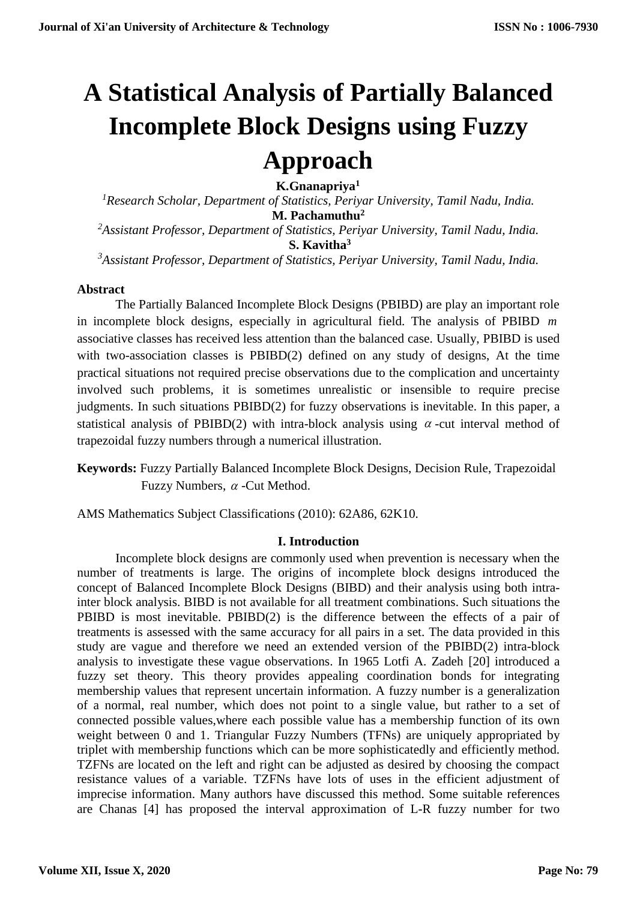# **A Statistical Analysis of Partially Balanced Incomplete Block Designs using Fuzzy Approach**

 **K.Gnanapriya<sup>1</sup>**

*<sup>1</sup>Research Scholar, Department of Statistics, Periyar University, Tamil Nadu, India.* **M. Pachamuthu<sup>2</sup>** *<sup>2</sup>Assistant Professor, Department of Statistics, Periyar University, Tamil Nadu, India.*  **S. Kavitha<sup>3</sup>** *<sup>3</sup>Assistant Professor, Department of Statistics, Periyar University, Tamil Nadu, India.*

#### **Abstract**

The Partially Balanced Incomplete Block Designs (PBIBD) are play an important role in incomplete block designs, especially in agricultural field. The analysis of PBIBD *m* associative classes has received less attention than the balanced case. Usually, PBIBD is used with two-association classes is PBIBD(2) defined on any study of designs, At the time practical situations not required precise observations due to the complication and uncertainty involved such problems, it is sometimes unrealistic or insensible to require precise judgments. In such situations PBIBD(2) for fuzzy observations is inevitable. In this paper, a statistical analysis of PBIBD(2) with intra-block analysis using  $\alpha$ -cut interval method of trapezoidal fuzzy numbers through a numerical illustration.

**Keywords:** Fuzzy Partially Balanced Incomplete Block Designs, Decision Rule, Trapezoidal Fuzzy Numbers,  $\alpha$  -Cut Method.

AMS Mathematics Subject Classifications (2010): 62A86, 62K10.

## **I. Introduction**

Incomplete block designs are commonly used when prevention is necessary when the number of treatments is large. The origins of incomplete block designs introduced the concept of Balanced Incomplete Block Designs (BIBD) and their analysis using both intrainter block analysis. BIBD is not available for all treatment combinations. Such situations the PBIBD is most inevitable. PBIBD(2) is the difference between the effects of a pair of treatments is assessed with the same accuracy for all pairs in a set. The data provided in this study are vague and therefore we need an extended version of the PBIBD(2) intra-block analysis to investigate these vague observations. In 1965 Lotfi A. Zadeh [20] introduced a fuzzy set theory. This theory provides appealing coordination bonds for integrating membership values that represent uncertain information. A fuzzy number is a generalization of a normal, real number, which does not point to a single value, but rather to a set of connected possible values,where each possible value has a membership function of its own weight between 0 and 1. Triangular Fuzzy Numbers (TFNs) are uniquely appropriated by triplet with membership functions which can be more sophisticatedly and efficiently method. TZFNs are located on the left and right can be adjusted as desired by choosing the compact resistance values of a variable. TZFNs have lots of uses in the efficient adjustment of imprecise information. Many authors have discussed this method. Some suitable references are Chanas [4] has proposed the interval approximation of L-R fuzzy number for two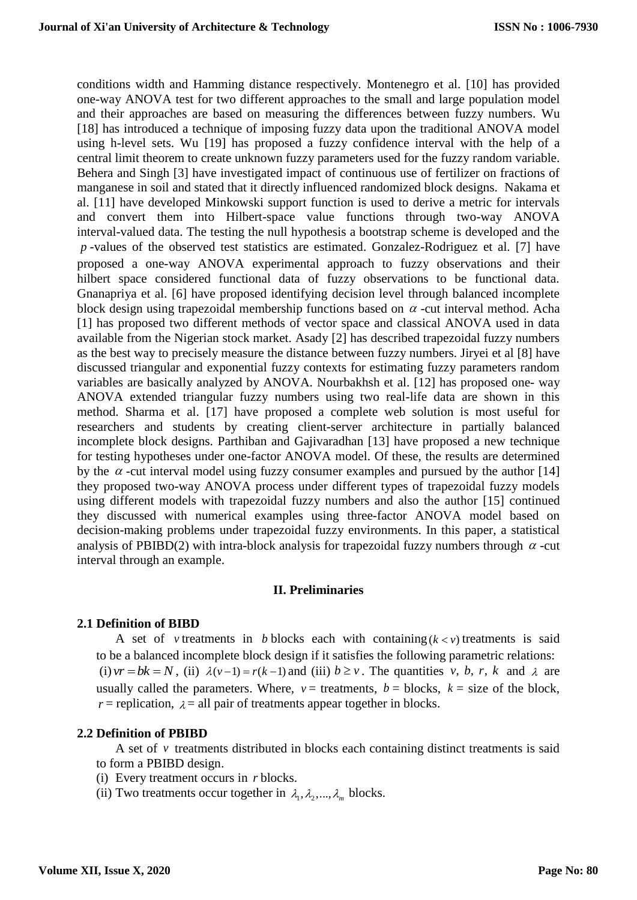conditions width and Hamming distance respectively. Montenegro et al. [10] has provided one-way ANOVA test for two different approaches to the small and large population model and their approaches are based on measuring the differences between fuzzy numbers. Wu [18] has introduced a technique of imposing fuzzy data upon the traditional ANOVA model using h-level sets. Wu [19] has proposed a fuzzy confidence interval with the help of a central limit theorem to create unknown fuzzy parameters used for the fuzzy random variable. Behera and Singh [3] have investigated impact of continuous use of fertilizer on fractions of manganese in soil and stated that it directly influenced randomized block designs. Nakama et al. [11] have developed Minkowski support function is used to derive a metric for intervals and convert them into Hilbert-space value functions through two-way ANOVA interval-valued data. The testing the null hypothesis a bootstrap scheme is developed and the *<sup>p</sup>* -values of the observed test statistics are estimated. Gonzalez-Rodriguez et al. [7] have proposed a one-way ANOVA experimental approach to fuzzy observations and their hilbert space considered functional data of fuzzy observations to be functional data. Gnanapriya et al. [6] have proposed identifying decision level through balanced incomplete block design using trapezoidal membership functions based on  $\alpha$  -cut interval method. Acha [1] has proposed two different methods of vector space and classical ANOVA used in data available from the Nigerian stock market. Asady [2] has described trapezoidal fuzzy numbers as the best way to precisely measure the distance between fuzzy numbers. Jiryei et al [8] have discussed triangular and exponential fuzzy contexts for estimating fuzzy parameters random variables are basically analyzed by ANOVA. Nourbakhsh et al. [12] has proposed one- way ANOVA extended triangular fuzzy numbers using two real-life data are shown in this method. Sharma et al. [17] have proposed a complete web solution is most useful for researchers and students by creating client-server architecture in partially balanced incomplete block designs. Parthiban and Gajivaradhan [13] have proposed a new technique for testing hypotheses under one-factor ANOVA model. Of these, the results are determined by the  $\alpha$  -cut interval model using fuzzy consumer examples and pursued by the author [14] they proposed two-way ANOVA process under different types of trapezoidal fuzzy models using different models with trapezoidal fuzzy numbers and also the author [15] continued they discussed with numerical examples using three-factor ANOVA model based on decision-making problems under trapezoidal fuzzy environments. In this paper, a statistical analysis of PBIBD(2) with intra-block analysis for trapezoidal fuzzy numbers through  $\alpha$ -cut interval through an example.

#### **II. Preliminaries**

#### **2.1 Definition of BIBD**

A set of *v* treatments in *b* blocks each with containing  $(k < v)$  treatments is said to be a balanced incomplete block design if it satisfies the following parametric relations: (i)  $vr = bk = N$ , (ii)  $\lambda (v-1) = r(k-1)$  and (iii)  $b \ge v$ . The quantities v, b, r, k and  $\lambda$  are usually called the parameters. Where,  $v =$  treatments,  $b =$  blocks,  $k =$  size of the block,  $r$  = replication,  $\lambda$  = all pair of treatments appear together in blocks.

#### **2.2 Definition of PBIBD**

A set of  $\nu$  treatments distributed in blocks each containing distinct treatments is said to form a PBIBD design.

- (i) Every treatment occurs in *r* blocks.
- (ii) Two treatments occur together in  $\lambda_1, \lambda_2, ..., \lambda_m$  blocks.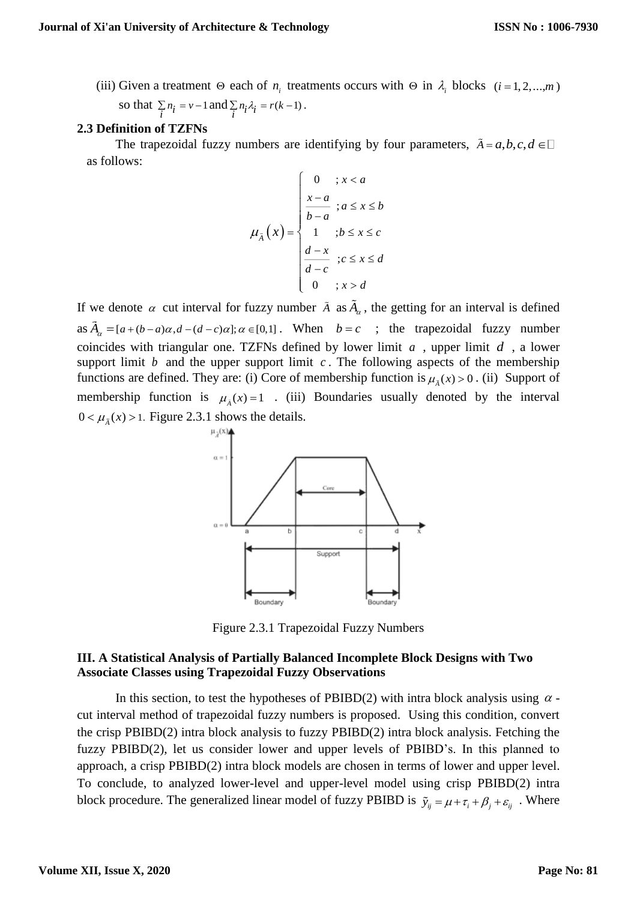(iii) Given a treatment  $\Theta$  each of  $n_i$  treatments occurs with  $\Theta$  in  $\lambda_i$  blocks  $(i = 1, 2, ..., m)$ 

so that  $\sum_{i} n_i = v - 1$  and  $\sum_{i} n_i \lambda_i = r(k-1)$ .

#### **2.3 Definition of TZFNs**

The trapezoidal fuzzy numbers are identifying by four parameters,  $\tilde{A} = a, b, c, d \in \Box$ as follows:

$$
\mu_{\tilde{A}}(x) = \begin{cases}\n0 & \text{if } x < a \\
\frac{x-a}{b-a} & \text{if } a \leq x \leq b \\
1 & \text{if } b \leq x \leq c \\
\frac{d-x}{d-c} & \text{if } x > d\n\end{cases}
$$

If we denote  $\alpha$  cut interval for fuzzy number  $\tilde{A}$  as  $\tilde{A}_{\alpha}$ , the getting for an interval is defined as  $A_{\alpha} = [a + (b - a)\alpha, d - (d - c)\alpha]; \alpha \in [0,1]$ . When  $b = c$ ; the trapezoidal fuzzy number coincides with triangular one. TZFNs defined by lower limit  $a$ , upper limit  $d$ , a lower support limit  $b$  and the upper support limit  $c$ . The following aspects of the membership functions are defined. They are: (i) Core of membership function is  $\mu_{\tilde{A}}(x) > 0$ . (ii) Support of membership function is  $\mu_{\tilde{A}}(x) = 1$ . (iii) Boundaries usually denoted by the interval  $0 < \mu_{\tilde{\lambda}}(x) > 1$ . Figure 2.3.1 shows the details.



Figure 2.3.1 Trapezoidal Fuzzy Numbers

#### **III. A Statistical Analysis of Partially Balanced Incomplete Block Designs with Two Associate Classes using Trapezoidal Fuzzy Observations**

In this section, to test the hypotheses of PBIBD(2) with intra block analysis using  $\alpha$  cut interval method of trapezoidal fuzzy numbers is proposed. Using this condition, convert the crisp PBIBD(2) intra block analysis to fuzzy PBIBD(2) intra block analysis. Fetching the fuzzy PBIBD(2), let us consider lower and upper levels of PBIBD's. In this planned to approach, a crisp PBIBD(2) intra block models are chosen in terms of lower and upper level. To conclude, to analyzed lower-level and upper-level model using crisp PBIBD(2) intra block procedure. The generalized linear model of fuzzy PBIBD is  $\tilde{y}_{ij} = \mu + \tau_i + \beta_j + \varepsilon_{ij}$ . Where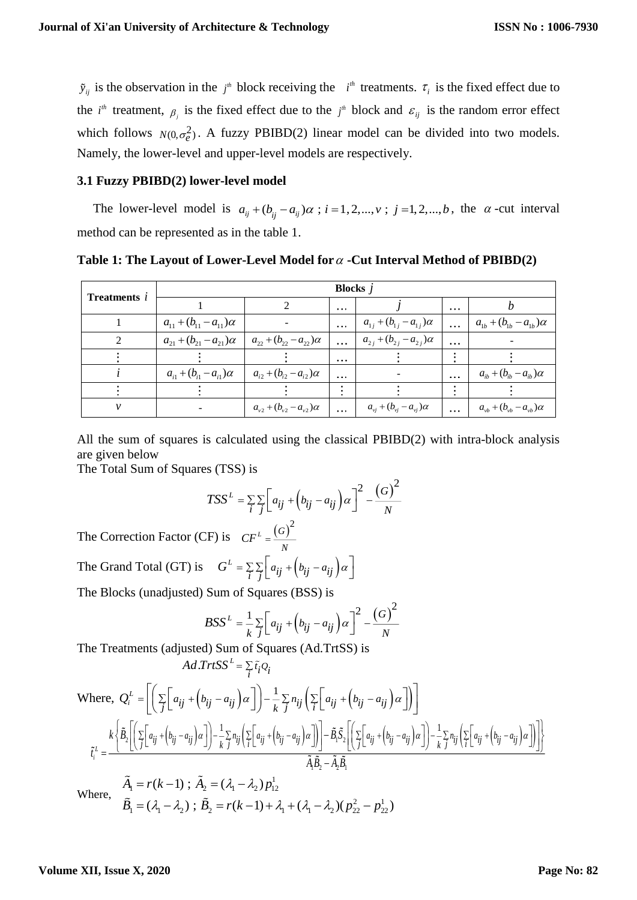$\tilde{y}_{ij}$  is the observation in the  $j^h$  block receiving the  $i^h$  treatments.  $\tau_i$  is the fixed effect due to the *i*<sup>th</sup> treatment,  $\beta$ <sub>*i*</sub> is the fixed effect due to the *j*<sup>th</sup> block and  $\varepsilon$ <sub>*ij*</sub> is the random error effect which follows  $N(0, \sigma_e^2)$ . A fuzzy PBIBD(2) linear model can be divided into two models. Namely, the lower-level and upper-level models are respectively.

#### **3.1 Fuzzy PBIBD(2) lower-level model**

The lower-level model is  $a_{ij} + (b_{ij} - a_{ij})\alpha$ ;  $i = 1, 2, ..., v$ ;  $j = 1, 2, ..., b$ , the  $\alpha$ -cut interval method can be represented as in the table 1.

## **Table 1: The Layout of Lower-Level Model for -Cut Interval Method of PBIBD(2)**

| <b>Treatments</b> i | <b>Blocks</b> $i$                  |                                    |          |                                              |          |                                              |
|---------------------|------------------------------------|------------------------------------|----------|----------------------------------------------|----------|----------------------------------------------|
|                     |                                    |                                    | $\cdots$ |                                              | $\cdots$ |                                              |
|                     | $a_{11} + (b_{11} - a_{11})\alpha$ |                                    |          | $a_{1i} + (b_{1i} - a_{1i})\alpha$           | $\cdots$ | $a_{1b} + (b_{1b} - a_{1b})\alpha$           |
|                     | $a_{21} + (b_{21} - a_{21})\alpha$ | $a_{22} + (b_{22} - a_{22})\alpha$ | $\cdots$ | $a_{2j} + (b_{2j} - a_{2j})\alpha$           | $\cdots$ |                                              |
|                     |                                    |                                    | $\cdots$ |                                              |          |                                              |
|                     | $a_{i1} + (b_{i1} - a_{i1})\alpha$ | $a_{i2} + (b_{i2} - a_{i2})\alpha$ | $\cdots$ |                                              | $\cdots$ | $a_{ih}$ + $(b_{ih} - a_{ih})\alpha$         |
|                     |                                    |                                    |          |                                              |          |                                              |
|                     |                                    | $a_{v2} + (b_{v2} - a_{v2})\alpha$ | $\cdots$ | $a_{\nu j} + (b_{\nu j} - a_{\nu j}) \alpha$ | $\cdots$ | $a_{\nu b} + (b_{\nu b} - a_{\nu b}) \alpha$ |

All the sum of squares is calculated using the classical PBIBD(2) with intra-block analysis are given below

The Total Sum of Squares (TSS) is

$$
TSS^{L} = \sum_{i} \sum_{j} \left[ a_{ij} + \left( b_{ij} - a_{ij} \right) \alpha \right]^{2} - \frac{\left( G \right)^{2}}{N}
$$

The Correction Factor (CF) is  $CF^{L} = \frac{(G)^{2}}{2}$ *N*  $CF^{\perp}$  = The Grand Total (GT) is  $G^L = \sum_{i} \sum_{j} \left[ a_{ij} + \left( b_{ij} - a_{ij} \right) \alpha \right]$ 

The Blocks (unadjusted) Sum of Squares (BSS) is

 $1 - I (N - 1)$ ,  $1 + 2 - (M - N_2) P_{12}$ 

 $= r(k-1)$  ;  $A_n = (1/2, 1/2)$ 

$$
BSS^{L} = \frac{1}{k} \sum_{j} \left[ a_{ij} + \left( b_{ij} - a_{ij} \right) \alpha \right]^{2} - \frac{\left( G \right)^{2}}{N}
$$

The Treatments (adjusted) Sum of Squares (Ad.TrtSS) is

$$
Ad.\mathit{TrtSS}^L = \sum_i \tilde{t}_i Q_i
$$

1 1 2 2 1 1 2 22 22

 $B_1 = (\lambda_1 - \lambda_2)$ ;  $B_2 = r(k-1) + \lambda_1 + (\lambda_1 - \lambda_2)(p_{22}^2 - p_{32}^2)$ 

 $=(\lambda_1-\lambda_2): B_2=r(k-1)+\lambda_2+(1-\lambda_2)(p_{22}^2-1)$ 

 $\lambda - \lambda$ ) :  $B_2 = r(k-1) + \lambda$  +  $(\lambda - \lambda)$ 

 $(\lambda_1 - \lambda_2)$ ;  $B_2 = r(k-1) + \lambda_1 + (\lambda_1 - \lambda_2)(p_{22}^2 - p_{22}^1)$ 

Where, 
$$
Q_i^L = \left[ \left( \sum_j \left[ a_{ij} + (b_{ij} - a_{ij}) \alpha \right] \right) - \frac{1}{k} \sum_j n_{ij} \left( \sum_j \left[ a_{ij} + (b_{ij} - a_{ij}) \alpha \right] \right) \right]
$$
  
\n
$$
\tilde{t}_i^L = \frac{k \left\{ \tilde{B}_2 \left[ \left( \sum_j \left[ a_{ij} + (b_{ij} - a_{ij}) \alpha \right] \right) - \frac{1}{k} \sum_j n_{ij} \left( \sum_j \left[ a_{ij} + (b_{ij} - a_{ij}) \alpha \right] \right) \right] - \tilde{B}_1 \tilde{S}_2 \left[ \left( \sum_j \left[ a_{ij} + (b_{ij} - a_{ij}) \alpha \right] \right) - \frac{1}{k} \sum_j n_{ij} \left( \sum_j \left[ a_{ij} + (b_{ij} - a_{ij}) \alpha \right] \right) \right]}{\tilde{A}_i \tilde{B}_2 - \tilde{A}_2 \tilde{B}_1}
$$
\n
$$
\tilde{A}_1 = r(k-1) ; \tilde{A}_2 = (\lambda_1 - \lambda_2) p_{12}^1
$$

2 1

Where,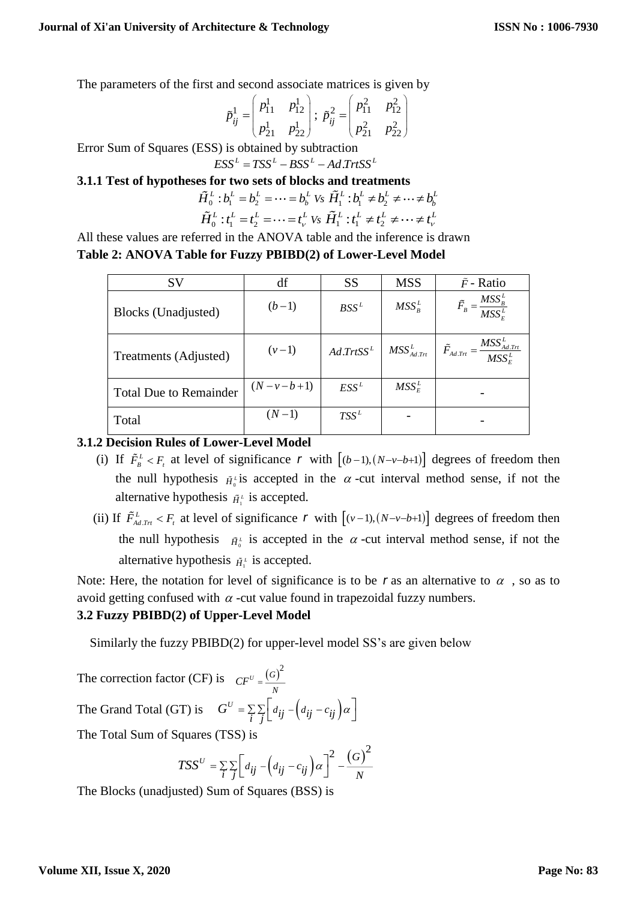The parameters of the first and second associate matrices is given by

$$
\tilde{p}_{ij}^1 = \begin{pmatrix} p_{11}^1 & p_{12}^1 \\ p_{21}^1 & p_{22}^1 \end{pmatrix}; \ \tilde{p}_{ij}^2 = \begin{pmatrix} p_{11}^2 & p_{12}^2 \\ p_{21}^2 & p_{22}^2 \end{pmatrix}
$$

Error Sum of Squares (ESS) is obtained by subtraction  $\text{ESS}^L = TSS^L - BSS^L - Ad\,\text{Tr}tSS^L$ 

**3.1.1 Test of hypotheses for two sets of blocks and treatments**

$$
\tilde{H}_0^L : b_1^L = b_2^L = \dots = b_b^L \text{ Vs } \tilde{H}_1^L : b_1^L \neq b_2^L \neq \dots \neq b_b^L
$$
\n
$$
\tilde{H}_0^L : t_1^L = t_2^L = \dots = t_v^L \text{ Vs } \tilde{H}_1^L : t_1^L \neq t_2^L \neq \dots \neq t_v^L
$$

All these values are referred in the ANOVA table and the inference is drawn **Table 2: ANOVA Table for Fuzzy PBIBD(2) of Lower-Level Model**

| SV                            | df                | <b>SS</b>              | <b>MSS</b>       | $\tilde{F}$ - Ratio                                   |
|-------------------------------|-------------------|------------------------|------------------|-------------------------------------------------------|
| Blocks (Unadjusted)           | $(b-1)$           | $BSS^L$                | $MSS_{R}^{L}$    | $\tilde{F}_B = \frac{MSS_B^L}{MSS_E^L}$               |
| Treatments (Adjusted)         | $(v-1)$           | Ad. TrtSS <sup>L</sup> | $MSS_{Ad,Trt}^L$ | $\tilde{F}_{Ad.Trt} = \frac{MSS_{Ad.Trt}^L}{MSS_E^L}$ |
| <b>Total Due to Remainder</b> | $(N - v - b + 1)$ | $ESS^L$                | $MSS_E^L$        |                                                       |
| Total                         | $(N-1)$           | $TSS^L$                |                  |                                                       |

# **3.1.2 Decision Rules of Lower-Level Model**

- (i) If  $\tilde{F}_B^L < F_t$  at level of significance r with  $[(b-1), (N-v-b+1)]$  degrees of freedom then the null hypothesis  $\tilde{H}^{\text{L}}_{\text{O}}$  is accepted in the  $\alpha$ -cut interval method sense, if not the alternative hypothesis  $\tilde{H}^L$  is accepted.
- (ii) If  $\tilde{F}_{Ad,2n}^L < F_t$  at level of significance r with  $[(v-1),(N-v-b+1)]$  degrees of freedom then the null hypothesis  $\tilde{H}^L$  is accepted in the  $\alpha$ -cut interval method sense, if not the alternative hypothesis  $\tilde{H}_1^L$  is accepted.

Note: Here, the notation for level of significance is to be r as an alternative to  $\alpha$ , so as to avoid getting confused with  $\alpha$  -cut value found in trapezoidal fuzzy numbers.

## **3.2 Fuzzy PBIBD(2) of Upper-Level Model**

Similarly the fuzzy PBIBD(2) for upper-level model SS's are given below

The correction factor (CF) is  $CF^U = \frac{(G)^2}{2}$  $CF^U = \frac{V}{N}$ The Grand Total (GT) is  $G^U = \sum_i \sum_j \left[ d_{ij} - d_{ij} - c_{ij} \right]$  $G^U = \sum_{i} \sum_{j} \left[ d_{ij} - \left( d_{ij} - c_{ij} \right) \alpha \right]$ The Total Sum of Squares (TSS) is

$$
TSS^U = \sum_{i} \sum_{j} \left[ d_{ij} - \left( d_{ij} - c_{ij} \right) \alpha \right]^2 - \frac{\left( G \right)^2}{N}
$$

The Blocks (unadjusted) Sum of Squares (BSS) is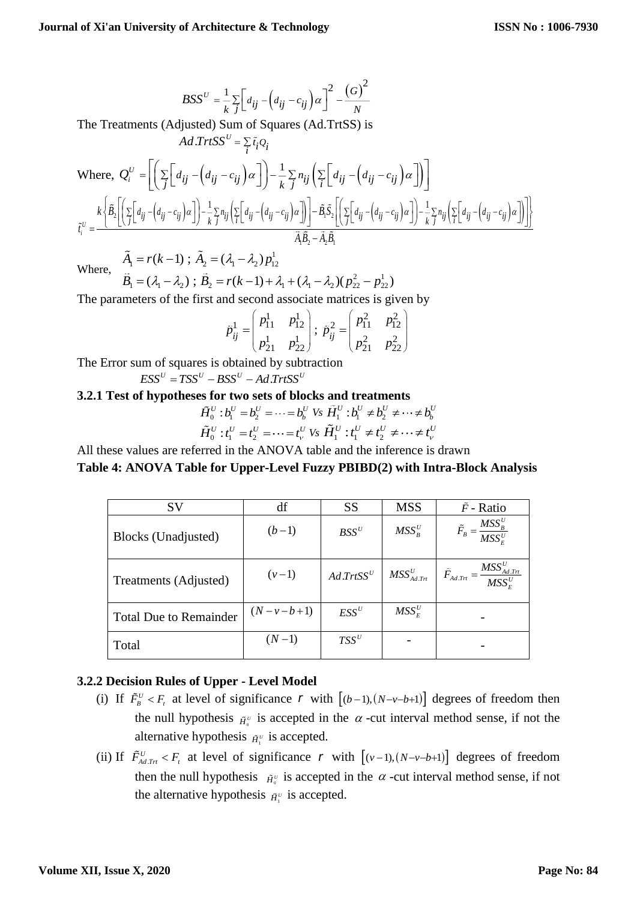$$
BSS^{U} = \frac{1}{k} \sum_{j} \left[ d_{ij} - \left( d_{ij} - c_{ij} \right) \alpha \right]^{2} - \frac{\left( G \right)^{2}}{N}
$$

The Treatments (Adjusted) Sum of Squares (Ad.TrtSS) is

 $Ad.\mathit{Trt}SS^U = \sum_i \tilde{t}_i Q_i$ 

$$
Ad. TrtSS^{U} = \sum_{i} \tilde{t}_{i}Q_{i}
$$
\nWhere, 
$$
Q_{i}^{U} = \left[ \left( \sum_{j} \left[ d_{ij} - \left( d_{ij} - c_{ij} \right) \alpha \right] \right) - \frac{1}{k} \sum_{j} n_{ij} \left( \sum_{i} \left[ d_{ij} - \left( d_{ij} - c_{ij} \right) \alpha \right] \right) \right]
$$
\n
$$
\tilde{t}_{i}^{U} = \frac{k \left\{ \tilde{B}_{2} \left[ \left( \sum_{j} \left[ d_{ij} - \left( d_{ij} - c_{ij} \right) \alpha \right] \right) - \frac{1}{k} \sum_{j} n_{ij} \left( \sum_{i} \left[ d_{ij} - \left( d_{ij} - c_{ij} \right) \alpha \right] \right) \right] - \frac{1}{k} \sum_{j} n_{ij} \left( \sum_{i} \left[ d_{ij} - \left( d_{ij} - c_{ij} \right) \alpha \right] \right) - \frac{1}{k} \sum_{j} n_{ij} \left( \sum_{i} \left[ d_{ij} - \left( d_{ij} - c_{ij} \right) \alpha \right] \right) \right\}}{\tilde{A}_{i} \tilde{B}_{2} - \tilde{A}_{2} \tilde{B}_{i}}
$$

Where,

$$
A_1 = r(k-1) \; ; \; A_2 = (\lambda_1 - \lambda_2) p_{12}^1
$$
\n
$$
\tilde{B}_1 = (\lambda_1 - \lambda_2) \; ; \; \tilde{B}_2 = r(k-1) + \lambda_1 + (\lambda_1 - \lambda_2)(p_{22}^2 - p_{22}^1)
$$

1

The parameters of the first and second associate matrices is given by

$$
\tilde{p}_{ij}^1 = \begin{pmatrix} p_{11}^1 & p_{12}^1 \\ p_{21}^1 & p_{22}^1 \end{pmatrix}; \ \tilde{p}_{ij}^2 = \begin{pmatrix} p_{11}^2 & p_{12}^2 \\ p_{21}^2 & p_{22}^2 \end{pmatrix}
$$

The Error sum of squares is obtained by subtraction

 $ESS^U = TSS^U - BSS^U - Ad\,TrtSS^U$ 

**3.2.1 Test of hypotheses for two sets of blocks and treatments**

$$
\tilde{H}_0^U : b_1^U = b_2^U = \dots = b_b^U \text{ Vs } \tilde{H}_1^U : b_1^U \neq b_2^U \neq \dots \neq b_b^U
$$
\n
$$
\tilde{H}_0^U : t_1^U = t_2^U = \dots = t_v^U \text{ Vs } \tilde{H}_1^U : t_1^U \neq t_2^U \neq \dots \neq t_v^U
$$

All these values are referred in the ANOVA table and the inference is drawn **Table 4: ANOVA Table for Upper-Level Fuzzy PBIBD(2) with Intra-Block Analysis**

| <b>SV</b>                     | df                | <b>SS</b>       | <b>MSS</b>       | $\tilde{F}$ - Ratio                                           |
|-------------------------------|-------------------|-----------------|------------------|---------------------------------------------------------------|
| Blocks (Unadjusted)           | $(b-1)$           | $BSS^U$         | $MSS_{R}^{U}$    | $\tilde{F}_B = \frac{MSS_B^U}{MSS_E^U}$                       |
| Treatments (Adjusted)         | $(v-1)$           | $Ad. Trt S S^U$ | $MSS_{Ad.Trt}^U$ | : $\frac{MSS_{Ad,Trt}^U}{MSS_E^U}$<br>$ \tilde{F}_{Ad.Trt}$ = |
| <b>Total Due to Remainder</b> | $(N - v - b + 1)$ | $ESS^U$         | $MSS_{F}^{U}$    |                                                               |
| Total                         | $(N-1)$           | $TSS^U$         |                  |                                                               |

## **3.2.2 Decision Rules of Upper - Level Model**

- (i) If  $\tilde{F}_{B}^{U} < F_{t}$  at level of significance r with  $[(b-1), (N-v-b+1)]$  degrees of freedom then the null hypothesis  $\tilde{H}_{\alpha}^{\nu}$  is accepted in the  $\alpha$ -cut interval method sense, if not the alternative hypothesis  $\tilde{H}^{\nu}_{\perp}$  is accepted.
- (ii) If  $\tilde{F}_{A d, Tt}^{U} < F_t$  at level of significance r with  $[(v-1),(N-v-b+1)]$  degrees of freedom then the null hypothesis  $\tilde{H}^{\nu}_{\theta}$  is accepted in the  $\alpha$ -cut interval method sense, if not the alternative hypothesis  $\tilde{H}_1^{\nu}$  is accepted.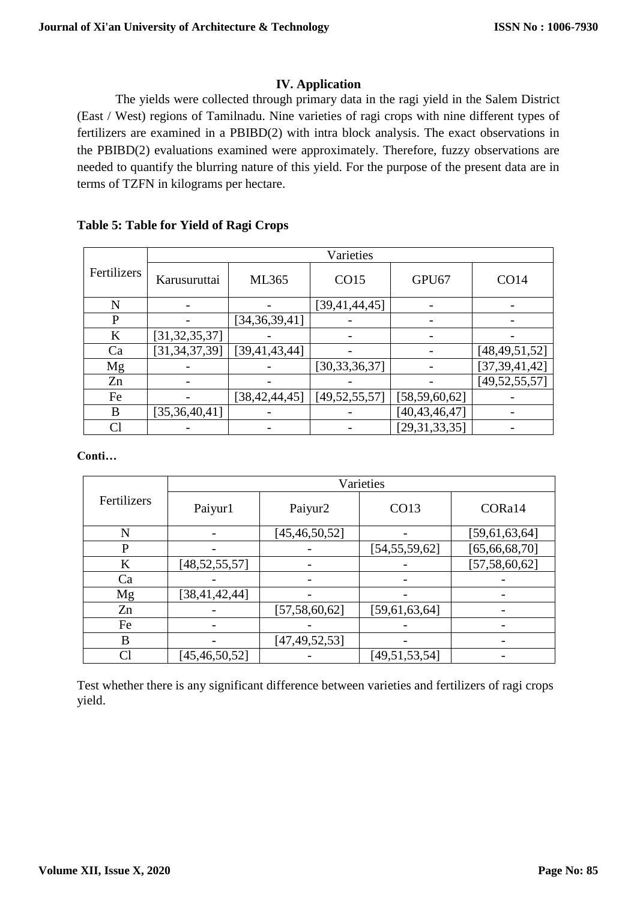# **IV. Application**

The yields were collected through primary data in the ragi yield in the Salem District (East / West) regions of Tamilnadu. Nine varieties of ragi crops with nine different types of fertilizers are examined in a PBIBD(2) with intra block analysis. The exact observations in the PBIBD(2) evaluations examined were approximately. Therefore, fuzzy observations are needed to quantify the blurring nature of this yield. For the purpose of the present data are in terms of TZFN in kilograms per hectare.

## **Table 5: Table for Yield of Ragi Crops**

|             |                  | Varieties        |                  |                  |                  |  |  |  |
|-------------|------------------|------------------|------------------|------------------|------------------|--|--|--|
| Fertilizers | Karusuruttai     | ML365            | CO15             | GPU67            | CO14             |  |  |  |
| N           |                  |                  | [39,41,44,45]    |                  |                  |  |  |  |
| P           |                  | [34,36,39,41]    |                  |                  |                  |  |  |  |
| K           | [31, 32, 35, 37] |                  |                  |                  |                  |  |  |  |
| Ca          | [31, 34, 37, 39] | [39,41,43,44]    |                  |                  | [48, 49, 51, 52] |  |  |  |
| Mg          |                  |                  | [30,33,36,37]    |                  | [37, 39, 41, 42] |  |  |  |
| Zn          |                  |                  |                  |                  | [49, 52, 55, 57] |  |  |  |
| Fe          |                  | [38, 42, 44, 45] | [49, 52, 55, 57] | [58, 59, 60, 62] |                  |  |  |  |
| B           | [35, 36, 40, 41] |                  |                  | [40, 43, 46, 47] |                  |  |  |  |
|             |                  |                  |                  | [29,31,33,35]    |                  |  |  |  |

**Conti…**

|             | Varieties        |                  |                  |                          |  |  |
|-------------|------------------|------------------|------------------|--------------------------|--|--|
| Fertilizers | Paiyur1          | Paiyur2          | CO13             | CORa14                   |  |  |
| N           |                  | [45, 46, 50, 52] |                  | [59,61,63,64]            |  |  |
| P           |                  |                  | [54, 55, 59, 62] | [65, 66, 68, 70]         |  |  |
| K           | [48, 52, 55, 57] |                  |                  | [57, 58, 60, 62]         |  |  |
| Ca          |                  |                  |                  |                          |  |  |
| Mg          | [38, 41, 42, 44] |                  |                  |                          |  |  |
| Zn          |                  | [57, 58, 60, 62] | [59,61,63,64]    |                          |  |  |
| Fe          |                  |                  |                  |                          |  |  |
| B           |                  | [47, 49, 52, 53] |                  | $\overline{\phantom{a}}$ |  |  |
| Cl          | [45, 46, 50, 52] |                  | [49,51,53,54]    |                          |  |  |

Test whether there is any significant difference between varieties and fertilizers of ragi crops yield.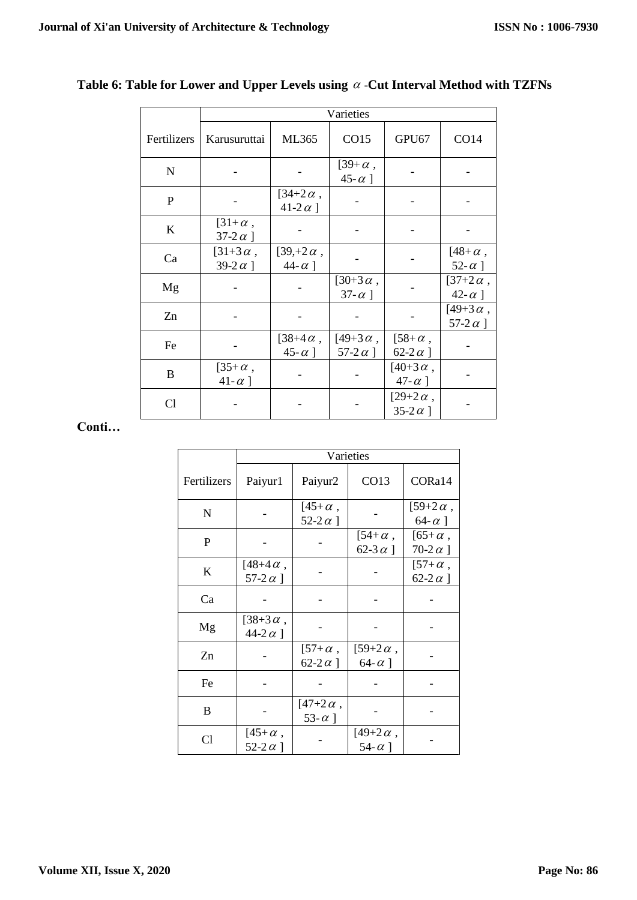|              | Varieties                         |                                      |                                      |                                     |                                      |  |
|--------------|-----------------------------------|--------------------------------------|--------------------------------------|-------------------------------------|--------------------------------------|--|
| Fertilizers  | Karusuruttai                      | ML365                                | CO15                                 | GPU67                               | CO14                                 |  |
| $\mathbf N$  |                                   |                                      | $[39+\alpha,$<br>45- $\alpha$ ]      |                                     |                                      |  |
| $\mathbf{P}$ |                                   | $[34 + 2 \alpha,$<br>41-2 $\alpha$ ] |                                      |                                     |                                      |  |
| $\bf K$      | $[31+\alpha,$<br>37-2 $\alpha$ ]  |                                      |                                      |                                     |                                      |  |
| Ca           | $[31+3\alpha,$<br>39-2 $\alpha$ ] | $[39, +2\alpha,$<br>44- $\alpha$ ]   |                                      |                                     | $[48+\alpha,$<br>52- $\alpha$ ]      |  |
| Mg           |                                   |                                      | $[30+3\alpha,$<br>37- $\alpha$ ]     |                                     | $[37 + 2\alpha,$<br>42- $\alpha$ ]   |  |
| Zn           |                                   |                                      |                                      |                                     | $[49 + 3 \alpha,$<br>57-2 $\alpha$ ] |  |
| Fe           |                                   | $[38 + 4 \alpha,$<br>45- $\alpha$ ]  | $[49 + 3 \alpha,$<br>57-2 $\alpha$ ] | $[58 + \alpha,$<br>62-2 $\alpha$ ]  |                                      |  |
| $\bf{B}$     | $[35+\alpha,$<br>41- $\alpha$ ]   |                                      |                                      | $[40 + 3 \alpha,$<br>47- $\alpha$ ] |                                      |  |
| Cl           |                                   |                                      |                                      | $[29+2\alpha,$<br>35-2 $\alpha$ ]   |                                      |  |

## Table 6: Table for Lower and Upper Levels using  $\alpha$  -Cut Interval Method with TZFNs

### **Conti…**

|              |                                      | Varieties                          |                                     |                                  |  |  |  |
|--------------|--------------------------------------|------------------------------------|-------------------------------------|----------------------------------|--|--|--|
| Fertilizers  | Paiyur1                              | Paiyur2                            | CO13                                | CORa14                           |  |  |  |
| N            |                                      | $[45+\alpha,$<br>52-2 $\alpha$ ]   |                                     | $[59+2\alpha,$<br>64- $\alpha$ ] |  |  |  |
| $\mathbf{P}$ |                                      |                                    | $[54+\alpha,$<br>62-3 $\alpha$ ]    | $[65+\alpha,$<br>70-2 $\alpha$ ] |  |  |  |
| K            | $[48 + 4 \alpha,$<br>57-2 $\alpha$ ] |                                    |                                     | $[57+\alpha,$<br>62-2 $\alpha$ ] |  |  |  |
| Ca           |                                      |                                    |                                     |                                  |  |  |  |
| Mg           | $[38+3\alpha,$<br>44-2 $\alpha$ ]    |                                    |                                     |                                  |  |  |  |
| Zn           |                                      | $[57+\alpha,$<br>62-2 $\alpha$ ]   | $[59+2\alpha,$<br>64- $\alpha$ ]    |                                  |  |  |  |
| Fe           |                                      |                                    |                                     |                                  |  |  |  |
| B            |                                      | $[47 + 2\alpha,$<br>53- $\alpha$ ] |                                     |                                  |  |  |  |
| Cl           | $[45+\alpha,$<br>52-2 $\alpha$ ]     |                                    | $[49 + 2 \alpha,$<br>54- $\alpha$ ] |                                  |  |  |  |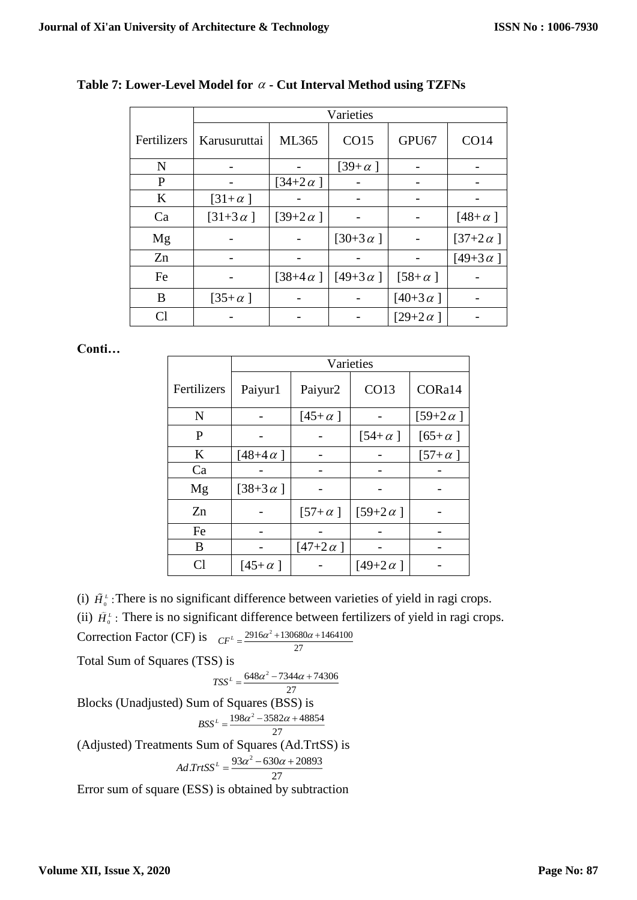|             | Varieties                |                           |                                                      |                 |                  |  |
|-------------|--------------------------|---------------------------|------------------------------------------------------|-----------------|------------------|--|
| Fertilizers | Karusuruttai             | ML365                     | CO15                                                 | GPU67           | <b>CO14</b>      |  |
| N           |                          |                           | $[39 + \alpha]$                                      |                 |                  |  |
| P           |                          | $\left[34+2\alpha\right]$ |                                                      |                 |                  |  |
| $\bf K$     | $\left[31+\alpha\right]$ |                           |                                                      |                 |                  |  |
| Ca          | $[31+3\alpha]$           | [39+2 $\alpha$ ]          |                                                      |                 | $[48+\alpha]$    |  |
| Mg          |                          |                           | [30+3 $\alpha$ ]                                     |                 | [37+2 $\alpha$ ] |  |
| Zn          |                          |                           |                                                      |                 | [49+3 $\alpha$ ] |  |
| Fe          |                          |                           | $\left[38+4\alpha\right]$ $\left[149+3\alpha\right]$ | $[58 + \alpha]$ |                  |  |
| B           | $[35 + \alpha]$          |                           |                                                      | $[40+3 \alpha]$ |                  |  |
|             |                          |                           |                                                      | $[29+2\alpha]$  |                  |  |

## **Table 7: Lower-Level Model for - Cut Interval Method using TZFNs**

#### **Conti…**

|                 | Varieties        |                 |                  |                  |  |
|-----------------|------------------|-----------------|------------------|------------------|--|
| Fertilizers     | Paiyur1          | Paiyur2         | CO13             | CORa14           |  |
| N               |                  | $[45+\alpha]$   |                  | [59+2 $\alpha$ ] |  |
| P               |                  |                 | $[54+\alpha]$    | $[65 + \alpha]$  |  |
| K               | [48+4 $\alpha$ ] |                 |                  | $[57+\alpha]$    |  |
| Ca              |                  |                 |                  |                  |  |
| Mg              | [38+3 $\alpha$ ] |                 |                  |                  |  |
| Zn              |                  | $[57 + \alpha]$ | $[59+2\alpha]$   |                  |  |
| Fe              |                  |                 |                  |                  |  |
| B               |                  | $[47+2\alpha]$  |                  |                  |  |
| $\mathcal{C}^1$ | $[45+\alpha]$    |                 | [49+2 $\alpha$ ] |                  |  |

(i)  $\tilde{H}_{0}^{L}$ : There is no significant difference between varieties of yield in ragi crops.

(ii)  $\tilde{H}_{0}^{L}$ : There is no significant difference between fertilizers of yield in ragi crops.

$$
Correction Factor (CF) is \t_{CF} = \frac{2916\alpha^2 + 130680\alpha + 1464100}{27}
$$

Total Sum of Squares (TSS) is

$$
TSS^{L} = \frac{648\alpha^{2} - 7344\alpha + 74306}{25}
$$

27 Blocks (Unadjusted) Sum of Squares (BSS) is  $198\alpha^2 - 3582\alpha + 48854$  $BSS^L = \frac{198\alpha^2 - 3582\alpha + 27}{27}$ (Adjusted) Treatments Sum of Squares (Ad.TrtSS) is  $Ad\,TrtSS^L = \frac{93\alpha^2 - 630\alpha + 20893}{27}$ 

Error sum of square (ESS) is obtained by subtraction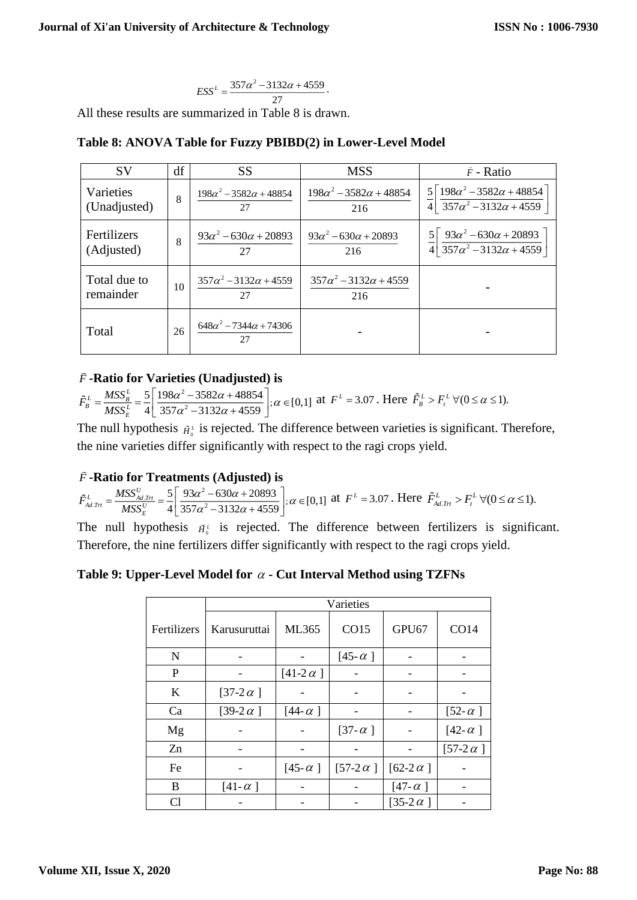$$
ESS^{L} = \frac{357\alpha^{2} - 3132\alpha + 4559}{27}.
$$

All these results are summarized in Table 8 is drawn.

| <b>SV</b>                 | df | <b>SS</b>                                | <b>MSS</b>                                | $\tilde{F}$ - Ratio                                                                                     |
|---------------------------|----|------------------------------------------|-------------------------------------------|---------------------------------------------------------------------------------------------------------|
| Varieties<br>(Unadjusted) | 8  | $198\alpha^2 - 3582\alpha + 48854$<br>27 | $198\alpha^2 - 3582\alpha + 48854$<br>216 | $5\lceil 198\alpha^2 - 3582\alpha + 48854 \rceil$<br>4 $357\alpha^2 - 3132\alpha + 4559$                |
| Fertilizers<br>(Adjusted) | 8  | $93\alpha^2 - 630\alpha + 20893$<br>27   | $93\alpha^2 - 630\alpha + 20893$<br>216   | $\frac{5}{4} \left[ \frac{93 \alpha^2 - 630 \alpha + 20893}{357 \alpha^2 - 3132 \alpha + 4559} \right]$ |
| Total due to<br>remainder | 10 | $357\alpha^2 - 3132\alpha + 4559$<br>27  | $357\alpha^2 - 3132\alpha + 4559$<br>216  |                                                                                                         |
| Total                     | 26 | $648\alpha^2 - 7344\alpha + 74306$<br>27 |                                           |                                                                                                         |

# **Table 8: ANOVA Table for Fuzzy PBIBD(2) in Lower-Level Model**

# *<sup>F</sup>* **-Ratio for Varieties (Unadjusted) is**

2  $\frac{5}{4}$  $\left| \frac{198\alpha^2 - 3582\alpha + 48854}{357\alpha^2 - 3132\alpha + 4559} \right|$ ;  $\alpha \in [0,1]$  $L_B^L = \frac{MSS_B^L}{MSS_E^L}$  $\tilde{F}_{n}^{L} = \frac{MSS}{m}$ *MSS*  $\frac{\alpha - 3382\alpha + 48834}{\alpha}$  $\alpha$  -3132 $\alpha$  $\lceil 198\alpha^2 - 3582\alpha + 48854 \rceil$  $\frac{1}{2}$   $\frac{1}{2}$   $\frac{1}{2}$   $\frac{1}{2}$   $\frac{1}{2}$   $\frac{1}{2}$   $\frac{1}{2}$   $\frac{1}{2}$   $\frac{1}{2}$   $\frac{1}{2}$   $\frac{1}{2}$   $\frac{1}{2}$   $\frac{1}{2}$   $\frac{1}{2}$   $\frac{1}{2}$   $\frac{1}{2}$   $\frac{1}{2}$   $\frac{1}{2}$   $\frac{1}{2}$   $\frac{1}{2}$   $\frac{1}{2}$   $\frac{1}{2}$ 

The null hypothesis  $\tilde{H}_{0}^{\mu}$  is rejected. The difference between varieties is significant. Therefore, the nine varieties differ significantly with respect to the ragi crops yield.

## *<sup>F</sup>* **-Ratio for Treatments (Adjusted) is**

 $\alpha_{x} = \frac{MSS_{Ad,Tri}^{U}}{MSS_{c}^{U}} = \frac{5}{4} \left| \frac{93\alpha^{2} - 630\alpha + 20893}{357\alpha^{2} - 3132\alpha + 4559} \right|; \alpha \in [0,1]$  $\frac{L}{\mathit{A}d.Trt} = \frac{MSS_{Ad.Trt}^{U}}{MSS_{E}^{U}}$  $\tilde{F}^L_{\text{max}} = \frac{MSS}{\sqrt{2}}$ *MSS*  $\frac{\alpha^2-630\alpha+20893}{\alpha}$  :  $\alpha$  $\alpha$ <sup>-</sup>  $\rightarrow$  132 $\alpha$  $\left[93\alpha^2-630\alpha+20893\right]$  $\frac{1}{2}$   $\frac{1}{2}$   $\frac{1}{2}$   $\frac{1}{2}$   $\frac{1}{2}$   $\frac{1}{2}$   $\frac{1}{2}$   $\frac{1}{2}$   $\frac{1}{2}$   $\frac{1}{2}$   $\frac{1}{2}$   $\frac{1}{2}$   $\frac{1}{2}$   $\frac{1}{2}$   $\frac{1}{2}$   $\frac{1}{2}$   $\frac{1}{2}$   $\frac{1}{2}$   $\frac{1}{2}$   $\frac{1}{2}$   $\frac{1}{2}$   $\frac{1}{2}$ 

The null hypothesis  $\tilde{H}_0^L$  is rejected. The difference between fertilizers is significant. Therefore, the nine fertilizers differ significantly with respect to the ragi crops yield.

## **Table 9: Upper-Level Model for - Cut Interval Method using TZFNs**

|                | Varieties        |                  |                 |                  |                  |  |
|----------------|------------------|------------------|-----------------|------------------|------------------|--|
| Fertilizers    | Karusuruttai     | ML365            | CO15            | GPU67            | CO14             |  |
| N              |                  |                  | [45- $\alpha$ ] |                  |                  |  |
| P              |                  | [41-2 $\alpha$ ] |                 |                  |                  |  |
| $\bf K$        | [37-2 $\alpha$ ] |                  |                 |                  |                  |  |
| Ca             | [39-2 $\alpha$ ] | [44- $\alpha$ ]  |                 |                  | $[52-\alpha]$    |  |
| Mg             |                  |                  | [37- $\alpha$ ] |                  | [42- $\alpha$ ]  |  |
| Zn             |                  |                  |                 |                  | [57-2 $\alpha$ ] |  |
| Fe             |                  | [45- $\alpha$ ]  | $[57-2 \alpha]$ | [62-2 $\alpha$ ] |                  |  |
| B              | $[41-\alpha]$    |                  |                 | [47- $\alpha$ ]  |                  |  |
| C <sub>1</sub> |                  |                  |                 | [35-2 $\alpha$ ] |                  |  |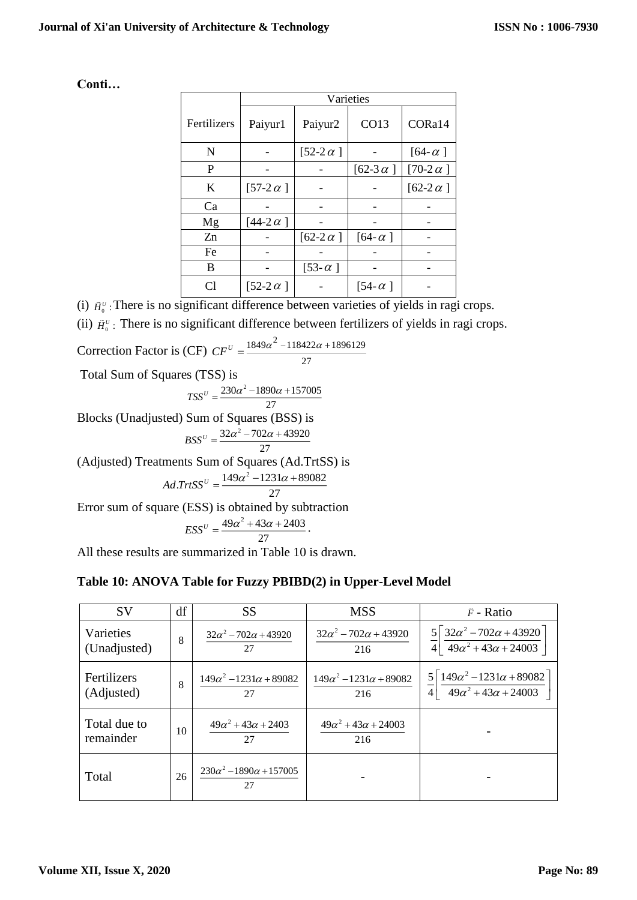| Conti |
|-------|
|-------|

|             | Varieties        |                  |                  |                  |  |
|-------------|------------------|------------------|------------------|------------------|--|
| Fertilizers | Paiyur1          | Paiyur2          | CO13             | CORa14           |  |
| N           |                  | [52-2 $\alpha$ ] |                  | $[64-\alpha]$    |  |
| P           |                  |                  | [62-3 $\alpha$ ] | [70-2 $\alpha$ ] |  |
| K           | $[57-2 \alpha]$  |                  |                  | [62-2 $\alpha$ ] |  |
| Ca          |                  |                  |                  |                  |  |
| Mg          | [44-2 $\alpha$ ] |                  |                  |                  |  |
| Zn          |                  | [62-2 $\alpha$ ] | $[64-\alpha]$    |                  |  |
| Fe          |                  |                  |                  |                  |  |
| B           |                  | [53- $\alpha$ ]  |                  |                  |  |
| C1          | [52-2 $\alpha$ ] |                  | [54- $\alpha$ ]  |                  |  |

(i)  $\tilde{H}_{0}^{U}$ : There is no significant difference between varieties of yields in ragi crops.

(ii)  $\tilde{H}_{0}^{U}$ : There is no significant difference between fertilizers of yields in ragi crops.

$$
Correction Factor is (CF) CF^{U} = \frac{1849\alpha^{2} - 118422\alpha + 1896129}{27}
$$

Total Sum of Squares (TSS) is

$$
TSS^{U} = \frac{230\alpha^{2} - 1890\alpha + 157005}{27}
$$

Blocks (Unadjusted) Sum of Squares (BSS) is

$$
BSS^{U} = \frac{32\alpha^{2} - 702\alpha + 43920}{27}
$$

(Adjusted) Treatments Sum of Squares (Ad.TrtSS) is

$$
Ad. TrtSS^{U} = \frac{149\alpha^{2} - 1231\alpha + 89082}{27}
$$

Error sum of square (ESS) is obtained by subtraction

$$
ESS^U=\frac{49\alpha^2+43\alpha+2403}{27}.
$$

All these results are summarized in Table 10 is drawn.

## **Table 10: ANOVA Table for Fuzzy PBIBD(2) in Upper-Level Model**

| <b>SV</b>                 | df | <b>SS</b>                                 | <b>MSS</b>                                | $\tilde{F}$ - Ratio                                                                                   |
|---------------------------|----|-------------------------------------------|-------------------------------------------|-------------------------------------------------------------------------------------------------------|
| Varieties<br>(Unadjusted) | 8  | $32\alpha^2 - 702\alpha + 43920$<br>27    | $32\alpha^2 - 702\alpha + 43920$<br>216   | $\frac{5}{4} \left[ \frac{32 \alpha^2 - 702 \alpha + 43920}{49 \alpha^2 + 43 \alpha + 24003} \right]$ |
| Fertilizers<br>(Adjusted) | 8  | $149\alpha^2 - 1231\alpha + 89082$<br>27  | $149\alpha^2 - 1231\alpha + 89082$<br>216 | $5\sqrt{149\alpha^2-1231\alpha+89082}$<br>4 $49\alpha^2 + 43\alpha + 24003$                           |
| Total due to<br>remainder | 10 | $49\alpha^2 + 43\alpha + 2403$<br>27      | $49\alpha^2 + 43\alpha + 24003$<br>216    |                                                                                                       |
| Total                     | 26 | $230\alpha^2 - 1890\alpha + 157005$<br>27 |                                           |                                                                                                       |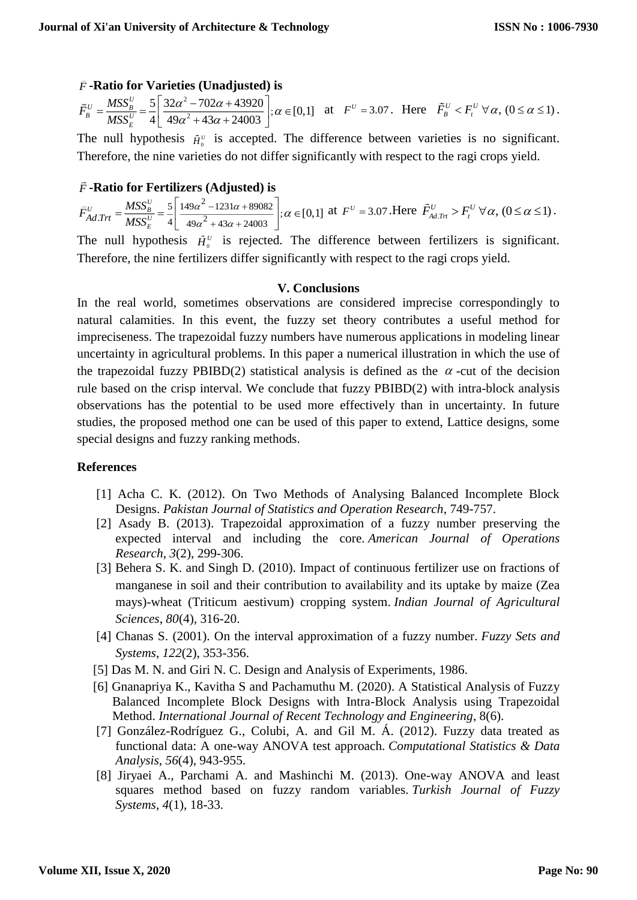# *<sup>F</sup>* **-Ratio for Varieties (Unadjusted) is**

$$
\tilde{F}_{B}^{U} = \frac{MSS_{B}^{U}}{MSS_{E}^{U}} = \frac{5}{4} \left[ \frac{32\alpha^{2} - 702\alpha + 43920}{49\alpha^{2} + 43\alpha + 24003} \right]; \alpha \in [0,1]
$$
 at  $F^{U} = 3.07$ . Here  $\tilde{F}_{B}^{U} < F_{t}^{U} \,\forall \alpha, \, (0 \le \alpha \le 1)$ .

The null hypothesis  $\tilde{H}_{0}^{U}$  is accepted. The difference between varieties is no significant. Therefore, the nine varieties do not differ significantly with respect to the ragi crops yield.

# *<sup>F</sup>* **-Ratio for Fertilizers (Adjusted) is**

2 2  $Trt = \frac{MSS_B^v}{MSS_v^v} = \frac{5}{4} \left| \frac{149\alpha^2 - 1231\alpha + 89082}{49\alpha^2 + 43\alpha + 24003} \right|;$ [0,1]  $\tilde{F}_{Ad,Trt}^{U} = \frac{MSS_B^U}{MSS_E^U}$ *MSS*  $\alpha$  -1231 $\alpha$  $\alpha$  +45 $\alpha$  $\left|-\frac{1231\alpha+89082}{\alpha}\right|$  $+43\alpha +$  $\left[149\alpha^2 - 1231\alpha + 89082\right]$  $\frac{1}{2}$   $\frac{1}{2}$   $\frac{1}{2}$   $\frac{1}{2}$   $\frac{1}{2}$   $\frac{1}{2}$   $\frac{1}{2}$   $\frac{1}{2}$   $\frac{1}{2}$   $\frac{1}{2}$   $\frac{1}{2}$   $\frac{1}{2}$   $\frac{1}{2}$   $\frac{1}{2}$   $\frac{1}{2}$   $\frac{1}{2}$   $\frac{1}{2}$   $\frac{1}{2}$   $\frac{1}{2}$   $\frac{1}{2}$   $\frac{1}{2}$   $\frac{1}{2}$ 

The null hypothesis  $\tilde{H}_{0}^{U}$  is rejected. The difference between fertilizers is significant. Therefore, the nine fertilizers differ significantly with respect to the ragi crops yield.

#### **V. Conclusions**

In the real world, sometimes observations are considered imprecise correspondingly to natural calamities. In this event, the fuzzy set theory contributes a useful method for impreciseness. The trapezoidal fuzzy numbers have numerous applications in modeling linear uncertainty in agricultural problems. In this paper a numerical illustration in which the use of the trapezoidal fuzzy PBIBD(2) statistical analysis is defined as the  $\alpha$ -cut of the decision rule based on the crisp interval. We conclude that fuzzy PBIBD(2) with intra-block analysis observations has the potential to be used more effectively than in uncertainty. In future studies, the proposed method one can be used of this paper to extend, Lattice designs, some special designs and fuzzy ranking methods.

## **References**

- [1] Acha C. K. (2012). On Two Methods of Analysing Balanced Incomplete Block Designs. *Pakistan Journal of Statistics and Operation Research*, 749-757.
- [2] Asady B. (2013). Trapezoidal approximation of a fuzzy number preserving the expected interval and including the core. *American Journal of Operations Research*, *3*(2), 299-306.
- [3] Behera S. K. and Singh D. (2010). Impact of continuous fertilizer use on fractions of manganese in soil and their contribution to availability and its uptake by maize (Zea mays)-wheat (Triticum aestivum) cropping system. *Indian Journal of Agricultural Sciences*, *80*(4), 316-20.
- [4] Chanas S. (2001). On the interval approximation of a fuzzy number. *Fuzzy Sets and Systems*, *122*(2), 353-356.
- [5] Das M. N. and Giri N. C. Design and Analysis of Experiments, 1986.
- [6] Gnanapriya K., Kavitha S and Pachamuthu M. (2020). A Statistical Analysis of Fuzzy Balanced Incomplete Block Designs with Intra-Block Analysis using Trapezoidal Method. *International Journal of Recent Technology and Engineering*, 8(6).
- [7] González-Rodríguez G., Colubi, A. and Gil M. Á. (2012). Fuzzy data treated as functional data: A one-way ANOVA test approach. *Computational Statistics & Data Analysis*, *56*(4), 943-955.
- [8] Jiryaei A., Parchami A. and Mashinchi M. (2013). One-way ANOVA and least squares method based on fuzzy random variables. *Turkish Journal of Fuzzy Systems*, *4*(1), 18-33.